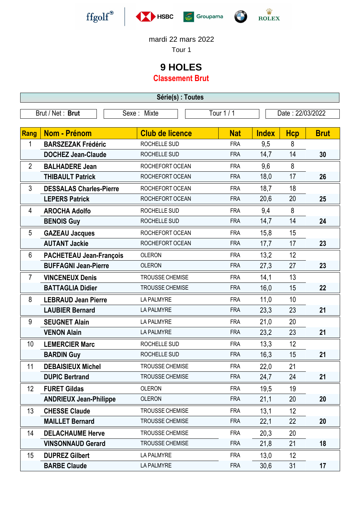

-







**EXAMINATION** 

## mardi 22 mars 2022

Tour 1

## **9 HOLES**

**Classement Brut**

| Série(s) : Toutes |                                |  |                        |  |            |                  |            |             |
|-------------------|--------------------------------|--|------------------------|--|------------|------------------|------------|-------------|
| Brut / Net: Brut  |                                |  | Sexe: Mixte            |  | Tour 1 / 1 | Date: 22/03/2022 |            |             |
|                   |                                |  |                        |  |            |                  |            |             |
| Rang              | <b>Nom - Prénom</b>            |  | <b>Club de licence</b> |  | <b>Nat</b> | <b>Index</b>     | <b>Hcp</b> | <b>Brut</b> |
| 1                 | <b>BARSZEZAK Frédéric</b>      |  | ROCHELLE SUD           |  | <b>FRA</b> | 9,5              | 8          |             |
|                   | <b>DOCHEZ Jean-Claude</b>      |  | ROCHELLE SUD           |  | <b>FRA</b> | 14,7             | 14         | 30          |
| $\overline{2}$    | <b>BALHADERE Jean</b>          |  | ROCHEFORT OCEAN        |  | <b>FRA</b> | 9,6              | 8          |             |
|                   | <b>THIBAULT Patrick</b>        |  | ROCHEFORT OCEAN        |  | <b>FRA</b> | 18,0             | 17         | 26          |
| 3                 | <b>DESSALAS Charles-Pierre</b> |  | ROCHEFORT OCEAN        |  | <b>FRA</b> | 18,7             | 18         |             |
|                   | <b>LEPERS Patrick</b>          |  | ROCHEFORT OCEAN        |  | <b>FRA</b> | 20,6             | 20         | 25          |
| 4                 | <b>AROCHA Adolfo</b>           |  | ROCHELLE SUD           |  | <b>FRA</b> | 9,4              | 8          |             |
|                   | <b>BENOIS Guy</b>              |  | ROCHELLE SUD           |  | <b>FRA</b> | 14,7             | 14         | 24          |
| 5                 | <b>GAZEAU Jacques</b>          |  | ROCHEFORT OCEAN        |  | <b>FRA</b> | 15,8             | 15         |             |
|                   | <b>AUTANT Jackie</b>           |  | ROCHEFORT OCEAN        |  | <b>FRA</b> | 17,7             | 17         | 23          |
| 6                 | <b>PACHETEAU Jean-François</b> |  | <b>OLERON</b>          |  | <b>FRA</b> | 13,2             | 12         |             |
|                   | <b>BUFFAGNI Jean-Pierre</b>    |  | <b>OLERON</b>          |  | <b>FRA</b> | 27,3             | 27         | 23          |
| 7                 | <b>VINCENEUX Denis</b>         |  | TROUSSE CHEMISE        |  | <b>FRA</b> | 14,1             | 13         |             |
|                   | <b>BATTAGLIA Didier</b>        |  | TROUSSE CHEMISE        |  | <b>FRA</b> | 16,0             | 15         | 22          |
| 8                 | <b>LEBRAUD Jean Pierre</b>     |  | <b>LA PALMYRE</b>      |  | <b>FRA</b> | 11,0             | 10         |             |
|                   | <b>LAUBIER Bernard</b>         |  | <b>LA PALMYRE</b>      |  | <b>FRA</b> | 23,3             | 23         | 21          |
| 9                 | <b>SEUGNET Alain</b>           |  | <b>LA PALMYRE</b>      |  | <b>FRA</b> | 21,0             | 20         |             |
|                   | <b>VENON Alain</b>             |  | <b>LA PALMYRE</b>      |  | <b>FRA</b> | 23,2             | 23         | 21          |
| 10                | <b>LEMERCIER Marc</b>          |  | ROCHELLE SUD           |  | <b>FRA</b> | 13,3             | 12         |             |
|                   | <b>BARDIN Guy</b>              |  | ROCHELLE SUD           |  | <b>FRA</b> | 16,3             | 15         | 21          |
| 11                | <b>DEBAISIEUX Michel</b>       |  | TROUSSE CHEMISE        |  | <b>FRA</b> | 22,0             | 21         |             |
|                   | <b>DUPIC Bertrand</b>          |  | TROUSSE CHEMISE        |  | <b>FRA</b> | 24,7             | 24         | 21          |
| 12                | <b>FURET Gildas</b>            |  | <b>OLERON</b>          |  | <b>FRA</b> | 19,5             | 19         |             |
|                   | <b>ANDRIEUX Jean-Philippe</b>  |  | <b>OLERON</b>          |  | <b>FRA</b> | 21,1             | 20         | 20          |
| 13                | <b>CHESSE Claude</b>           |  | TROUSSE CHEMISE        |  | <b>FRA</b> | 13,1             | 12         |             |
|                   | <b>MAILLET Bernard</b>         |  | <b>TROUSSE CHEMISE</b> |  | <b>FRA</b> | 22,1             | 22         | 20          |
| 14                | <b>DELACHAUME Herve</b>        |  | TROUSSE CHEMISE        |  | <b>FRA</b> | 20,3             | 20         |             |
|                   | <b>VINSONNAUD Gerard</b>       |  | <b>TROUSSE CHEMISE</b> |  | <b>FRA</b> | 21,8             | 21         | 18          |
| 15                | <b>DUPREZ Gilbert</b>          |  | LA PALMYRE             |  | <b>FRA</b> | 13,0             | 12         |             |
|                   | <b>BARBE Claude</b>            |  | LA PALMYRE             |  | <b>FRA</b> | 30,6             | 31         | 17          |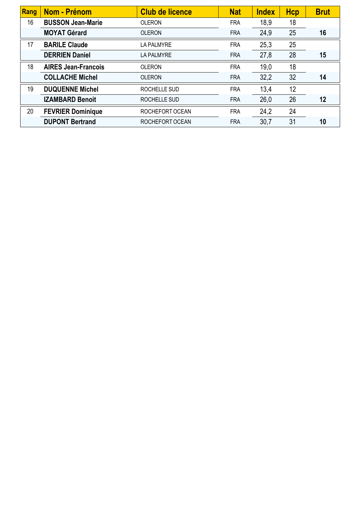| Rang | Nom - Prénom               | <b>Club de licence</b> | <b>Nat</b> | <b>Index</b> | <b>Hcp</b> | <b>Brut</b> |
|------|----------------------------|------------------------|------------|--------------|------------|-------------|
| 16   | <b>BUSSON Jean-Marie</b>   | <b>OLERON</b>          | <b>FRA</b> | 18,9         | 18         |             |
|      | <b>MOYAT Gérard</b>        | <b>OLERON</b>          | <b>FRA</b> | 24,9         | 25         | 16          |
| 17   | <b>BARILE Claude</b>       | <b>LA PALMYRE</b>      | <b>FRA</b> | 25,3         | 25         |             |
|      | <b>DERRIEN Daniel</b>      | <b>LA PALMYRE</b>      | <b>FRA</b> | 27,8         | 28         | 15          |
| 18   | <b>AIRES Jean-Francois</b> | <b>OLERON</b>          | <b>FRA</b> | 19,0         | 18         |             |
|      | <b>COLLACHE Michel</b>     | <b>OLERON</b>          | <b>FRA</b> | 32,2         | 32         | 14          |
| 19   | <b>DUQUENNE Michel</b>     | ROCHELLE SUD           | <b>FRA</b> | 13,4         | 12         |             |
|      | <b>IZAMBARD Benoit</b>     | ROCHELLE SUD           | <b>FRA</b> | 26,0         | 26         | 12          |
| 20   | <b>FEVRIER Dominique</b>   | ROCHEFORT OCEAN        | <b>FRA</b> | 24,2         | 24         |             |
|      | <b>DUPONT Bertrand</b>     | ROCHEFORT OCEAN        | <b>FRA</b> | 30,7         | 31         | 10          |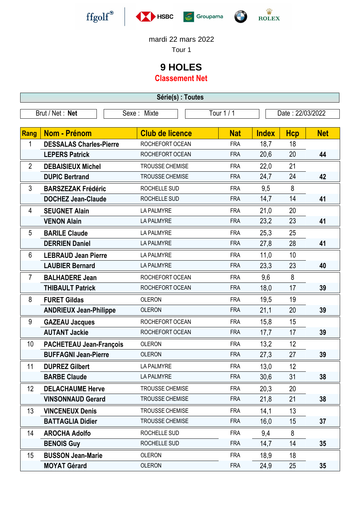

-







**ED M** 

## mardi 22 mars 2022

Tour 1

## **9 HOLES**

**Classement Net**

| Série(s) : Toutes |                                |                   |                        |            |              |                  |            |  |
|-------------------|--------------------------------|-------------------|------------------------|------------|--------------|------------------|------------|--|
| Brut / Net: Net   |                                | Sexe: Mixte       |                        | Tour 1 / 1 |              | Date: 22/03/2022 |            |  |
|                   |                                |                   |                        |            |              |                  |            |  |
| Rang              | Nom - Prénom                   |                   | <b>Club de licence</b> | <b>Nat</b> | <b>Index</b> | Hcp              | <b>Net</b> |  |
| 1                 | <b>DESSALAS Charles-Pierre</b> |                   | ROCHEFORT OCEAN        | <b>FRA</b> | 18,7         | 18               |            |  |
|                   | <b>LEPERS Patrick</b>          |                   | ROCHEFORT OCEAN        | <b>FRA</b> | 20,6         | 20               | 44         |  |
| $\overline{2}$    | <b>DEBAISIEUX Michel</b>       |                   | TROUSSE CHEMISE        | <b>FRA</b> | 22,0         | 21               |            |  |
|                   | <b>DUPIC Bertrand</b>          |                   | TROUSSE CHEMISE        | <b>FRA</b> | 24,7         | 24               | 42         |  |
| 3                 | <b>BARSZEZAK Frédéric</b>      |                   | ROCHELLE SUD           | <b>FRA</b> | 9,5          | 8                |            |  |
|                   | <b>DOCHEZ Jean-Claude</b>      |                   | ROCHELLE SUD           | <b>FRA</b> | 14,7         | 14               | 41         |  |
| 4                 | <b>SEUGNET Alain</b>           | LA PALMYRE        |                        | <b>FRA</b> | 21,0         | 20               |            |  |
|                   | <b>VENON Alain</b>             | <b>LA PALMYRE</b> |                        | <b>FRA</b> | 23,2         | 23               | 41         |  |
| 5                 | <b>BARILE Claude</b>           | LA PALMYRE        |                        | <b>FRA</b> | 25,3         | 25               |            |  |
|                   | <b>DERRIEN Daniel</b>          | <b>LA PALMYRE</b> |                        | <b>FRA</b> | 27,8         | 28               | 41         |  |
| 6                 | <b>LEBRAUD Jean Pierre</b>     | LA PALMYRE        |                        | <b>FRA</b> | 11,0         | 10               |            |  |
|                   | <b>LAUBIER Bernard</b>         | <b>LA PALMYRE</b> |                        | <b>FRA</b> | 23,3         | 23               | 40         |  |
| $\overline{7}$    | <b>BALHADERE Jean</b>          |                   | ROCHEFORT OCEAN        | <b>FRA</b> | 9,6          | 8                |            |  |
|                   | <b>THIBAULT Patrick</b>        |                   | ROCHEFORT OCEAN        | <b>FRA</b> | 18,0         | 17               | 39         |  |
| 8                 | <b>FURET Gildas</b>            |                   | <b>OLERON</b>          | <b>FRA</b> | 19,5         | 19               |            |  |
|                   | <b>ANDRIEUX Jean-Philippe</b>  | <b>OLERON</b>     |                        | <b>FRA</b> | 21,1         | 20               | 39         |  |
| 9                 | <b>GAZEAU Jacques</b>          |                   | ROCHEFORT OCEAN        | <b>FRA</b> | 15,8         | 15               |            |  |
|                   | <b>AUTANT Jackie</b>           |                   | ROCHEFORT OCEAN        | <b>FRA</b> | 17,7         | 17               | 39         |  |
| 10                | <b>PACHETEAU Jean-François</b> | <b>OLERON</b>     |                        | <b>FRA</b> | 13,2         | 12               |            |  |
|                   | <b>BUFFAGNI Jean-Pierre</b>    | <b>OLERON</b>     |                        | <b>FRA</b> | 27,3         | 27               | 39         |  |
| 11                | <b>DUPREZ Gilbert</b>          | LA PALMYRE        |                        | <b>FRA</b> | 13,0         | 12               |            |  |
|                   | <b>BARBE Claude</b>            | LA PALMYRE        |                        | <b>FRA</b> | 30,6         | 31               | 38         |  |
| 12                | <b>DELACHAUME Herve</b>        |                   | TROUSSE CHEMISE        | <b>FRA</b> | 20,3         | 20               |            |  |
|                   | <b>VINSONNAUD Gerard</b>       |                   | <b>TROUSSE CHEMISE</b> | <b>FRA</b> | 21,8         | 21               | 38         |  |
| 13                | <b>VINCENEUX Denis</b>         |                   | <b>TROUSSE CHEMISE</b> | <b>FRA</b> | 14,1         | 13               |            |  |
|                   | <b>BATTAGLIA Didier</b>        |                   | <b>TROUSSE CHEMISE</b> | <b>FRA</b> | 16,0         | 15               | 37         |  |
| 14                | <b>AROCHA Adolfo</b>           |                   | ROCHELLE SUD           | <b>FRA</b> | 9,4          | 8                |            |  |
|                   | <b>BENOIS Guy</b>              |                   | ROCHELLE SUD           | <b>FRA</b> | 14,7         | 14               | 35         |  |
| 15                | <b>BUSSON Jean-Marie</b>       | <b>OLERON</b>     |                        | <b>FRA</b> | 18,9         | 18               |            |  |
|                   | <b>MOYAT Gérard</b>            | <b>OLERON</b>     |                        | <b>FRA</b> | 24,9         | 25               | 35         |  |